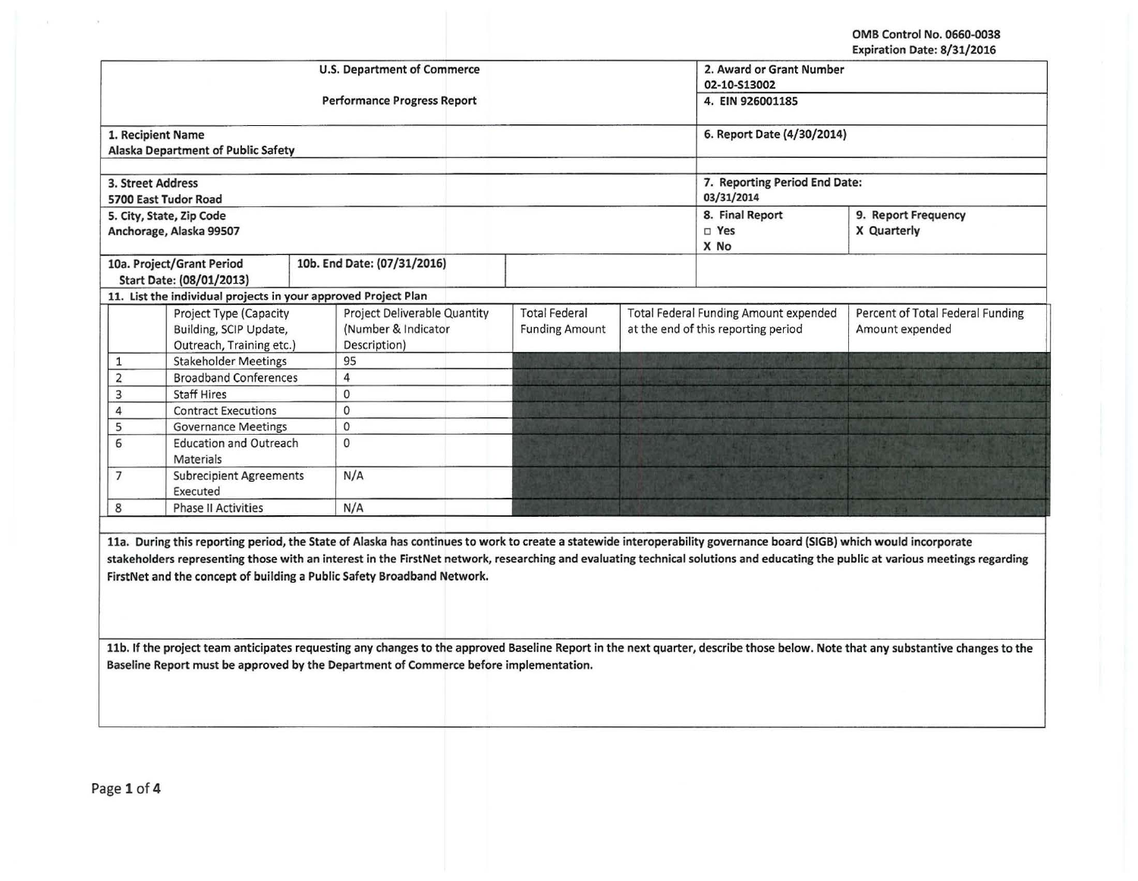OMB Control No. 0660-0038 Expiration Date: 8/31/2016

|                                                                                                                                                                                 |                                                                |  |                                                                                                                                                                     |                               |  |                                              | ryhii arinii nare, ol 311 chta   |  |
|---------------------------------------------------------------------------------------------------------------------------------------------------------------------------------|----------------------------------------------------------------|--|---------------------------------------------------------------------------------------------------------------------------------------------------------------------|-------------------------------|--|----------------------------------------------|----------------------------------|--|
|                                                                                                                                                                                 |                                                                |  | U.S. Department of Commerce                                                                                                                                         | 2. Award or Grant Number      |  |                                              |                                  |  |
|                                                                                                                                                                                 |                                                                |  |                                                                                                                                                                     | 02-10-S13002                  |  |                                              |                                  |  |
|                                                                                                                                                                                 |                                                                |  | <b>Performance Progress Report</b>                                                                                                                                  | 4. EIN 926001185              |  |                                              |                                  |  |
| 1. Recipient Name                                                                                                                                                               |                                                                |  |                                                                                                                                                                     | 6. Report Date (4/30/2014)    |  |                                              |                                  |  |
|                                                                                                                                                                                 | Alaska Department of Public Safety                             |  |                                                                                                                                                                     |                               |  |                                              |                                  |  |
|                                                                                                                                                                                 |                                                                |  |                                                                                                                                                                     |                               |  |                                              |                                  |  |
| 3. Street Address                                                                                                                                                               |                                                                |  |                                                                                                                                                                     | 7. Reporting Period End Date: |  |                                              |                                  |  |
|                                                                                                                                                                                 | 5700 East Tudor Road                                           |  |                                                                                                                                                                     | 03/31/2014                    |  |                                              |                                  |  |
|                                                                                                                                                                                 | 5. City, State, Zip Code                                       |  |                                                                                                                                                                     |                               |  | 8. Final Report                              | 9. Report Frequency              |  |
|                                                                                                                                                                                 | Anchorage, Alaska 99507                                        |  |                                                                                                                                                                     |                               |  | □ Yes                                        | X Quarterly                      |  |
|                                                                                                                                                                                 |                                                                |  |                                                                                                                                                                     |                               |  | X No                                         |                                  |  |
|                                                                                                                                                                                 | 10a. Project/Grant Period                                      |  | 10b. End Date: (07/31/2016)                                                                                                                                         |                               |  |                                              |                                  |  |
|                                                                                                                                                                                 | Start Date: (08/01/2013)                                       |  |                                                                                                                                                                     |                               |  |                                              |                                  |  |
|                                                                                                                                                                                 | 11. List the individual projects in your approved Project Plan |  |                                                                                                                                                                     |                               |  |                                              |                                  |  |
|                                                                                                                                                                                 | Project Type (Capacity                                         |  | Project Deliverable Quantity                                                                                                                                        | <b>Total Federal</b>          |  | <b>Total Federal Funding Amount expended</b> | Percent of Total Federal Funding |  |
|                                                                                                                                                                                 | Building, SCIP Update,                                         |  | (Number & Indicator                                                                                                                                                 | <b>Funding Amount</b>         |  | at the end of this reporting period          | Amount expended                  |  |
|                                                                                                                                                                                 | Outreach, Training etc.)                                       |  | Description)                                                                                                                                                        |                               |  |                                              |                                  |  |
| $\mathbf{1}$                                                                                                                                                                    | <b>Stakeholder Meetings</b>                                    |  | 95                                                                                                                                                                  |                               |  |                                              |                                  |  |
| $\overline{2}$                                                                                                                                                                  | <b>Broadband Conferences</b>                                   |  | $\overline{4}$                                                                                                                                                      |                               |  |                                              |                                  |  |
| $\overline{3}$                                                                                                                                                                  | <b>Staff Hires</b>                                             |  | $\Omega$                                                                                                                                                            |                               |  |                                              |                                  |  |
| 4                                                                                                                                                                               | <b>Contract Executions</b>                                     |  | 0                                                                                                                                                                   |                               |  |                                              |                                  |  |
| 5                                                                                                                                                                               | <b>Governance Meetings</b>                                     |  | 0                                                                                                                                                                   |                               |  |                                              |                                  |  |
| 6<br><b>Education and Outreach</b>                                                                                                                                              |                                                                |  | $\mathbf{0}$                                                                                                                                                        |                               |  |                                              |                                  |  |
| <b>Materials</b>                                                                                                                                                                |                                                                |  |                                                                                                                                                                     |                               |  |                                              |                                  |  |
|                                                                                                                                                                                 | $\overline{7}$<br><b>Subrecipient Agreements</b>               |  | N/A                                                                                                                                                                 |                               |  |                                              |                                  |  |
|                                                                                                                                                                                 | Executed                                                       |  |                                                                                                                                                                     |                               |  |                                              |                                  |  |
| 8                                                                                                                                                                               | <b>Phase II Activities</b>                                     |  | N/A                                                                                                                                                                 |                               |  |                                              |                                  |  |
|                                                                                                                                                                                 |                                                                |  |                                                                                                                                                                     |                               |  |                                              |                                  |  |
|                                                                                                                                                                                 |                                                                |  | 11a. During this reporting period, the State of Alaska has continues to work to create a statewide interoperability governance board (SIGB) which would incorporate |                               |  |                                              |                                  |  |
| stakeholders representing those with an interest in the FirstNet network, researching and evaluating technical solutions and educating the public at various meetings regarding |                                                                |  |                                                                                                                                                                     |                               |  |                                              |                                  |  |
| FirstNet and the concept of building a Public Safety Broadband Network.                                                                                                         |                                                                |  |                                                                                                                                                                     |                               |  |                                              |                                  |  |
|                                                                                                                                                                                 |                                                                |  |                                                                                                                                                                     |                               |  |                                              |                                  |  |
|                                                                                                                                                                                 |                                                                |  |                                                                                                                                                                     |                               |  |                                              |                                  |  |
|                                                                                                                                                                                 |                                                                |  |                                                                                                                                                                     |                               |  |                                              |                                  |  |
| 11b. If the project team anticipates requesting any changes to the approved Baseline Report in the next quarter, describe those below. Note that any substantive changes to the |                                                                |  |                                                                                                                                                                     |                               |  |                                              |                                  |  |
| Baseline Report must be approved by the Department of Commerce before implementation.                                                                                           |                                                                |  |                                                                                                                                                                     |                               |  |                                              |                                  |  |
|                                                                                                                                                                                 |                                                                |  |                                                                                                                                                                     |                               |  |                                              |                                  |  |
|                                                                                                                                                                                 |                                                                |  |                                                                                                                                                                     |                               |  |                                              |                                  |  |

 $\sim$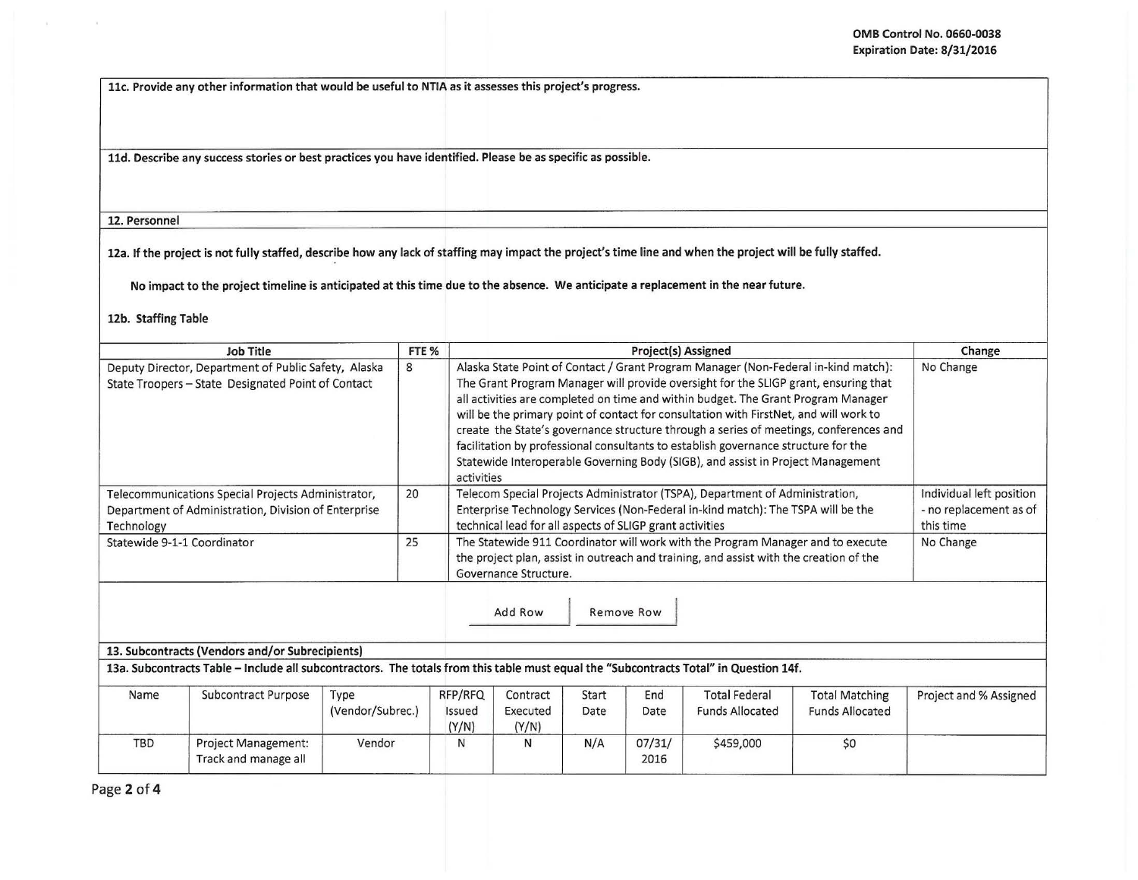llc. Provide any other information that would be useful to NTIA as it assesses this project's progress.

lld. Describe any success stories or best practices you have identified. Please be as specific as possible.

12. Personnel

12a. If the project is not fully staffed, describe how any lack of staffing may impact the project's time line and when the project will be fully staffed.

No impact to the project timeline is anticipated at this time due to the absence. We anticipate a replacement in the near future.

12b. Staffing Table

| Job Title                   |                                                                                                                                       |                          | FTE %                      |                                                                                                                                                                                                                                                                                                                                                                                                                                                                                                                                                                                                                           | Change                                                          |                |                                                |                                                 |                        |
|-----------------------------|---------------------------------------------------------------------------------------------------------------------------------------|--------------------------|----------------------------|---------------------------------------------------------------------------------------------------------------------------------------------------------------------------------------------------------------------------------------------------------------------------------------------------------------------------------------------------------------------------------------------------------------------------------------------------------------------------------------------------------------------------------------------------------------------------------------------------------------------------|-----------------------------------------------------------------|----------------|------------------------------------------------|-------------------------------------------------|------------------------|
|                             | Deputy Director, Department of Public Safety, Alaska<br>State Troopers - State Designated Point of Contact                            | 8                        | activities                 | Alaska State Point of Contact / Grant Program Manager (Non-Federal in-kind match):<br>The Grant Program Manager will provide oversight for the SLIGP grant, ensuring that<br>all activities are completed on time and within budget. The Grant Program Manager<br>will be the primary point of contact for consultation with FirstNet, and will work to<br>create the State's governance structure through a series of meetings, conferences and<br>facilitation by professional consultants to establish governance structure for the<br>Statewide Interoperable Governing Body (SIGB), and assist in Project Management | No Change                                                       |                |                                                |                                                 |                        |
| Technology                  | Telecommunications Special Projects Administrator,<br>Department of Administration, Division of Enterprise                            | 20                       |                            | Telecom Special Projects Administrator (TSPA), Department of Administration,<br>Enterprise Technology Services (Non-Federal in-kind match): The TSPA will be the<br>technical lead for all aspects of SLIGP grant activities                                                                                                                                                                                                                                                                                                                                                                                              | Individual left position<br>- no replacement as of<br>this time |                |                                                |                                                 |                        |
| Statewide 9-1-1 Coordinator |                                                                                                                                       |                          |                            | The Statewide 911 Coordinator will work with the Program Manager and to execute<br>the project plan, assist in outreach and training, and assist with the creation of the<br>Governance Structure.                                                                                                                                                                                                                                                                                                                                                                                                                        | No Change                                                       |                |                                                |                                                 |                        |
|                             |                                                                                                                                       |                          |                            | Add Row                                                                                                                                                                                                                                                                                                                                                                                                                                                                                                                                                                                                                   |                                                                 | Remove Row     |                                                |                                                 |                        |
|                             | 13. Subcontracts (Vendors and/or Subrecipients)                                                                                       |                          |                            |                                                                                                                                                                                                                                                                                                                                                                                                                                                                                                                                                                                                                           |                                                                 |                |                                                |                                                 |                        |
|                             | 13a. Subcontracts Table - Include all subcontractors. The totals from this table must equal the "Subcontracts Total" in Question 14f. |                          |                            |                                                                                                                                                                                                                                                                                                                                                                                                                                                                                                                                                                                                                           |                                                                 |                |                                                |                                                 |                        |
| Name                        | Subcontract Purpose                                                                                                                   | Type<br>(Vendor/Subrec.) | RFP/RFQ<br>Issued<br>(Y/N) | Contract<br>Executed<br>(Y/N)                                                                                                                                                                                                                                                                                                                                                                                                                                                                                                                                                                                             | Start<br>Date                                                   | End<br>Date    | <b>Total Federal</b><br><b>Funds Allocated</b> | <b>Total Matching</b><br><b>Funds Allocated</b> | Project and % Assigned |
| <b>TBD</b>                  | Project Management:<br>Track and manage all                                                                                           | Vendor                   | N                          | N                                                                                                                                                                                                                                                                                                                                                                                                                                                                                                                                                                                                                         | N/A                                                             | 07/31/<br>2016 | \$459,000                                      | \$0                                             |                        |

Page 2 of 4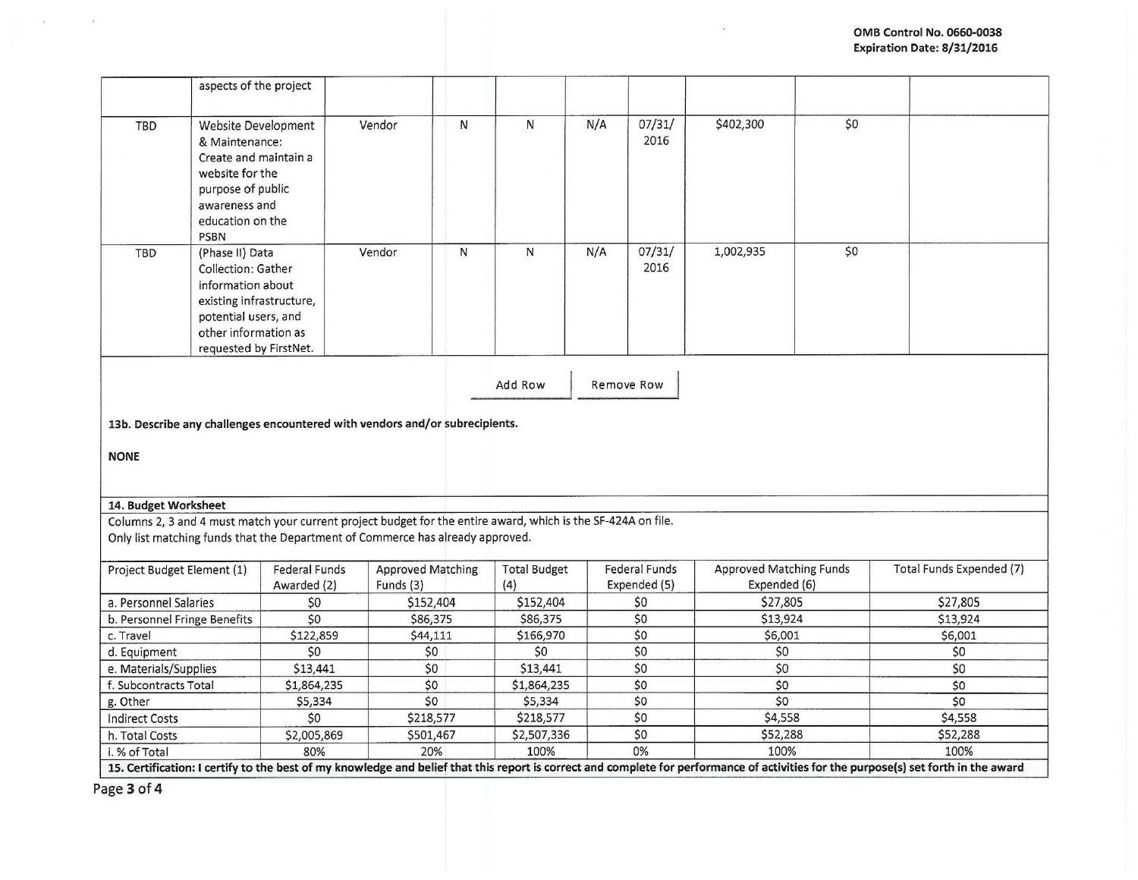|                                                                                                      | aspects of the project                                                                                                                                            |                                                                                                               |                                       |              |                            |     |                                      |                                                |     |                                                                                                                                                                                      |
|------------------------------------------------------------------------------------------------------|-------------------------------------------------------------------------------------------------------------------------------------------------------------------|---------------------------------------------------------------------------------------------------------------|---------------------------------------|--------------|----------------------------|-----|--------------------------------------|------------------------------------------------|-----|--------------------------------------------------------------------------------------------------------------------------------------------------------------------------------------|
| TBD                                                                                                  | <b>Website Development</b><br>& Maintenance:<br>Create and maintain a<br>website for the<br>purpose of public<br>awareness and<br>education on the<br><b>PSBN</b> |                                                                                                               | Vendor                                | N            | N                          | N/A | 07/31/<br>2016                       | \$402,300                                      | \$0 |                                                                                                                                                                                      |
| <b>TBD</b>                                                                                           | (Phase II) Data<br>Collection: Gather<br>information about<br>existing infrastructure,<br>potential users, and<br>other information as<br>requested by FirstNet.  |                                                                                                               | Vendor                                | $\mathsf{N}$ | N                          | N/A | 07/31/<br>2016                       | 1,002,935                                      | \$0 |                                                                                                                                                                                      |
| Add Row<br>Remove Row<br>13b. Describe any challenges encountered with vendors and/or subrecipients. |                                                                                                                                                                   |                                                                                                               |                                       |              |                            |     |                                      |                                                |     |                                                                                                                                                                                      |
| <b>NONE</b>                                                                                          |                                                                                                                                                                   |                                                                                                               |                                       |              |                            |     |                                      |                                                |     |                                                                                                                                                                                      |
| 14. Budget Worksheet                                                                                 |                                                                                                                                                                   |                                                                                                               |                                       |              |                            |     |                                      |                                                |     |                                                                                                                                                                                      |
|                                                                                                      |                                                                                                                                                                   | Columns 2, 3 and 4 must match your current project budget for the entire award, which is the SF-424A on file. |                                       |              |                            |     |                                      |                                                |     |                                                                                                                                                                                      |
|                                                                                                      |                                                                                                                                                                   | Only list matching funds that the Department of Commerce has already approved.                                |                                       |              |                            |     |                                      |                                                |     |                                                                                                                                                                                      |
| Project Budget Element (1)                                                                           |                                                                                                                                                                   | <b>Federal Funds</b><br>Awarded (2)                                                                           | <b>Approved Matching</b><br>Funds (3) |              | <b>Total Budget</b><br>(4) |     | <b>Federal Funds</b><br>Expended (5) | <b>Approved Matching Funds</b><br>Expended (6) |     | Total Funds Expended (7)                                                                                                                                                             |
| a. Personnel Salaries                                                                                |                                                                                                                                                                   | \$0                                                                                                           | \$152,404                             |              | \$152,404                  |     | \$0                                  | \$27,805                                       |     | \$27,805                                                                                                                                                                             |
| b. Personnel Fringe Benefits                                                                         |                                                                                                                                                                   | 50                                                                                                            | \$86,375                              |              | \$86,375                   |     | \$0                                  | \$13,924                                       |     | \$13,924                                                                                                                                                                             |
| c. Travel                                                                                            |                                                                                                                                                                   | \$122,859                                                                                                     | \$44,111                              |              | \$166,970                  |     | \$0                                  | \$6,001                                        |     | \$6,001                                                                                                                                                                              |
| d. Equipment                                                                                         |                                                                                                                                                                   | \$0                                                                                                           | \$0                                   |              | \$0                        |     | \$0                                  | \$0                                            |     | \$0                                                                                                                                                                                  |
| e. Materials/Supplies                                                                                |                                                                                                                                                                   | \$13,441                                                                                                      | \$0                                   |              |                            |     | \$0                                  | \$0                                            |     | \$0                                                                                                                                                                                  |
| f. Subcontracts Total                                                                                |                                                                                                                                                                   | \$1,864,235                                                                                                   | \$0                                   |              | \$1,864,235                |     | \$0                                  | \$0                                            |     | \$0                                                                                                                                                                                  |
| g. Other                                                                                             |                                                                                                                                                                   | \$5,334                                                                                                       | \$0                                   |              | \$5,334                    |     | \$0                                  | \$0                                            |     | \$0                                                                                                                                                                                  |
| <b>Indirect Costs</b>                                                                                |                                                                                                                                                                   | \$0                                                                                                           | \$218,577                             |              | \$218,577                  |     | \$0                                  | \$4,558                                        |     | \$4,558                                                                                                                                                                              |
| h. Total Costs                                                                                       |                                                                                                                                                                   | \$2,005,869                                                                                                   | \$501,467                             |              | \$2,507,336                |     | \$0                                  | \$52,288                                       |     | \$52,288                                                                                                                                                                             |
| 20%<br>80%<br>i. % of Total                                                                          |                                                                                                                                                                   |                                                                                                               |                                       |              | 100%                       |     | 0%                                   | 100%                                           |     | 100%                                                                                                                                                                                 |
|                                                                                                      |                                                                                                                                                                   |                                                                                                               |                                       |              |                            |     |                                      |                                                |     | 15. Certification: I certify to the best of my knowledge and belief that this report is correct and complete for performance of activities for the purpose(s) set forth in the award |

Page **3 of 4** 

 $\mathbf{y}_i$  .  $\mathbf{y}_i$